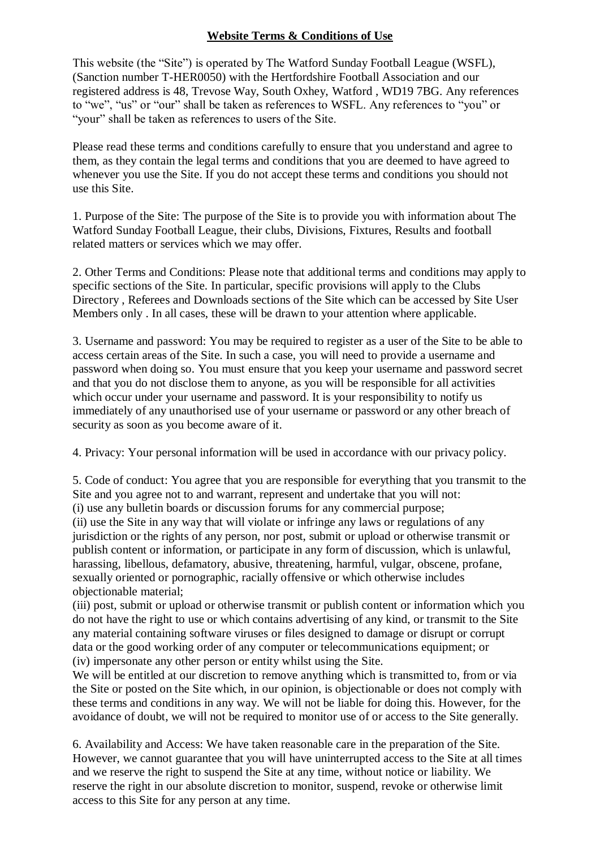## **Website Terms & Conditions of Use**

This website (the "Site") is operated by The Watford Sunday Football League (WSFL), (Sanction number T-HER0050) with the Hertfordshire Football Association and our registered address is 48, Trevose Way, South Oxhey, Watford , WD19 7BG. Any references to "we", "us" or "our" shall be taken as references to WSFL. Any references to "you" or "your" shall be taken as references to users of the Site.

Please read these terms and conditions carefully to ensure that you understand and agree to them, as they contain the legal terms and conditions that you are deemed to have agreed to whenever you use the Site. If you do not accept these terms and conditions you should not use this Site.

1. Purpose of the Site: The purpose of the Site is to provide you with information about The Watford Sunday Football League, their clubs, Divisions, Fixtures, Results and football related matters or services which we may offer.

2. Other Terms and Conditions: Please note that additional terms and conditions may apply to specific sections of the Site. In particular, specific provisions will apply to the Clubs Directory , Referees and Downloads sections of the Site which can be accessed by Site User Members only . In all cases, these will be drawn to your attention where applicable.

3. Username and password: You may be required to register as a user of the Site to be able to access certain areas of the Site. In such a case, you will need to provide a username and password when doing so. You must ensure that you keep your username and password secret and that you do not disclose them to anyone, as you will be responsible for all activities which occur under your username and password. It is your responsibility to notify us immediately of any unauthorised use of your username or password or any other breach of security as soon as you become aware of it.

4. Privacy: Your personal information will be used in accordance with our privacy policy.

5. Code of conduct: You agree that you are responsible for everything that you transmit to the Site and you agree not to and warrant, represent and undertake that you will not: (i) use any bulletin boards or discussion forums for any commercial purpose;

(ii) use the Site in any way that will violate or infringe any laws or regulations of any jurisdiction or the rights of any person, nor post, submit or upload or otherwise transmit or publish content or information, or participate in any form of discussion, which is unlawful, harassing, libellous, defamatory, abusive, threatening, harmful, vulgar, obscene, profane, sexually oriented or pornographic, racially offensive or which otherwise includes objectionable material;

(iii) post, submit or upload or otherwise transmit or publish content or information which you do not have the right to use or which contains advertising of any kind, or transmit to the Site any material containing software viruses or files designed to damage or disrupt or corrupt data or the good working order of any computer or telecommunications equipment; or (iv) impersonate any other person or entity whilst using the Site.

We will be entitled at our discretion to remove anything which is transmitted to, from or via the Site or posted on the Site which, in our opinion, is objectionable or does not comply with these terms and conditions in any way. We will not be liable for doing this. However, for the avoidance of doubt, we will not be required to monitor use of or access to the Site generally.

6. Availability and Access: We have taken reasonable care in the preparation of the Site. However, we cannot guarantee that you will have uninterrupted access to the Site at all times and we reserve the right to suspend the Site at any time, without notice or liability. We reserve the right in our absolute discretion to monitor, suspend, revoke or otherwise limit access to this Site for any person at any time.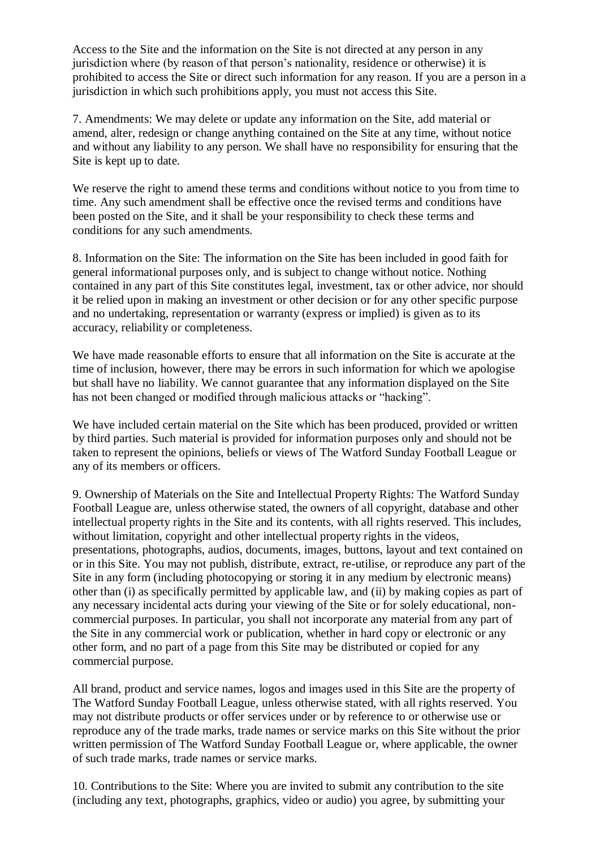Access to the Site and the information on the Site is not directed at any person in any jurisdiction where (by reason of that person's nationality, residence or otherwise) it is prohibited to access the Site or direct such information for any reason. If you are a person in a jurisdiction in which such prohibitions apply, you must not access this Site.

7. Amendments: We may delete or update any information on the Site, add material or amend, alter, redesign or change anything contained on the Site at any time, without notice and without any liability to any person. We shall have no responsibility for ensuring that the Site is kept up to date.

We reserve the right to amend these terms and conditions without notice to you from time to time. Any such amendment shall be effective once the revised terms and conditions have been posted on the Site, and it shall be your responsibility to check these terms and conditions for any such amendments.

8. Information on the Site: The information on the Site has been included in good faith for general informational purposes only, and is subject to change without notice. Nothing contained in any part of this Site constitutes legal, investment, tax or other advice, nor should it be relied upon in making an investment or other decision or for any other specific purpose and no undertaking, representation or warranty (express or implied) is given as to its accuracy, reliability or completeness.

We have made reasonable efforts to ensure that all information on the Site is accurate at the time of inclusion, however, there may be errors in such information for which we apologise but shall have no liability. We cannot guarantee that any information displayed on the Site has not been changed or modified through malicious attacks or "hacking".

We have included certain material on the Site which has been produced, provided or written by third parties. Such material is provided for information purposes only and should not be taken to represent the opinions, beliefs or views of The Watford Sunday Football League or any of its members or officers.

9. Ownership of Materials on the Site and Intellectual Property Rights: The Watford Sunday Football League are, unless otherwise stated, the owners of all copyright, database and other intellectual property rights in the Site and its contents, with all rights reserved. This includes, without limitation, copyright and other intellectual property rights in the videos, presentations, photographs, audios, documents, images, buttons, layout and text contained on or in this Site. You may not publish, distribute, extract, re-utilise, or reproduce any part of the Site in any form (including photocopying or storing it in any medium by electronic means) other than (i) as specifically permitted by applicable law, and (ii) by making copies as part of any necessary incidental acts during your viewing of the Site or for solely educational, noncommercial purposes. In particular, you shall not incorporate any material from any part of the Site in any commercial work or publication, whether in hard copy or electronic or any other form, and no part of a page from this Site may be distributed or copied for any commercial purpose.

All brand, product and service names, logos and images used in this Site are the property of The Watford Sunday Football League, unless otherwise stated, with all rights reserved. You may not distribute products or offer services under or by reference to or otherwise use or reproduce any of the trade marks, trade names or service marks on this Site without the prior written permission of The Watford Sunday Football League or, where applicable, the owner of such trade marks, trade names or service marks.

10. Contributions to the Site: Where you are invited to submit any contribution to the site (including any text, photographs, graphics, video or audio) you agree, by submitting your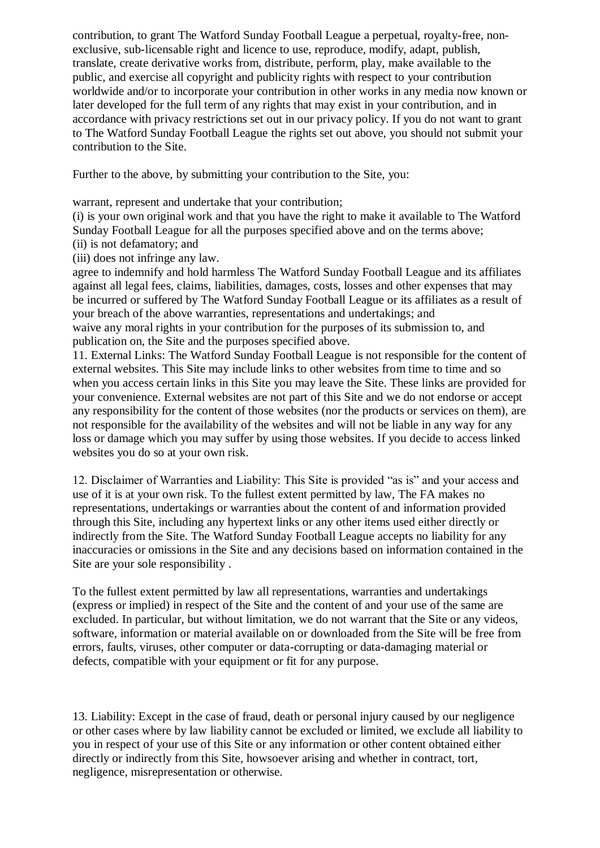contribution, to grant The Watford Sunday Football League a perpetual, royalty-free, nonexclusive, sub-licensable right and licence to use, reproduce, modify, adapt, publish, translate, create derivative works from, distribute, perform, play, make available to the public, and exercise all copyright and publicity rights with respect to your contribution worldwide and/or to incorporate your contribution in other works in any media now known or later developed for the full term of any rights that may exist in your contribution, and in accordance with privacy restrictions set out in our privacy policy. If you do not want to grant to The Watford Sunday Football League the rights set out above, you should not submit your contribution to the Site.

Further to the above, by submitting your contribution to the Site, you:

warrant, represent and undertake that your contribution;

(i) is your own original work and that you have the right to make it available to The Watford Sunday Football League for all the purposes specified above and on the terms above;

- (ii) is not defamatory; and
- (iii) does not infringe any law.

agree to indemnify and hold harmless The Watford Sunday Football League and its affiliates against all legal fees, claims, liabilities, damages, costs, losses and other expenses that may be incurred or suffered by The Watford Sunday Football League or its affiliates as a result of your breach of the above warranties, representations and undertakings; and

waive any moral rights in your contribution for the purposes of its submission to, and publication on, the Site and the purposes specified above.

11. External Links: The Watford Sunday Football League is not responsible for the content of external websites. This Site may include links to other websites from time to time and so when you access certain links in this Site you may leave the Site. These links are provided for your convenience. External websites are not part of this Site and we do not endorse or accept any responsibility for the content of those websites (nor the products or services on them), are not responsible for the availability of the websites and will not be liable in any way for any loss or damage which you may suffer by using those websites. If you decide to access linked websites you do so at your own risk.

12. Disclaimer of Warranties and Liability: This Site is provided "as is" and your access and use of it is at your own risk. To the fullest extent permitted by law, The FA makes no representations, undertakings or warranties about the content of and information provided through this Site, including any hypertext links or any other items used either directly or indirectly from the Site. The Watford Sunday Football League accepts no liability for any inaccuracies or omissions in the Site and any decisions based on information contained in the Site are your sole responsibility .

To the fullest extent permitted by law all representations, warranties and undertakings (express or implied) in respect of the Site and the content of and your use of the same are excluded. In particular, but without limitation, we do not warrant that the Site or any videos, software, information or material available on or downloaded from the Site will be free from errors, faults, viruses, other computer or data-corrupting or data-damaging material or defects, compatible with your equipment or fit for any purpose.

13. Liability: Except in the case of fraud, death or personal injury caused by our negligence or other cases where by law liability cannot be excluded or limited, we exclude all liability to you in respect of your use of this Site or any information or other content obtained either directly or indirectly from this Site, howsoever arising and whether in contract, tort, negligence, misrepresentation or otherwise.